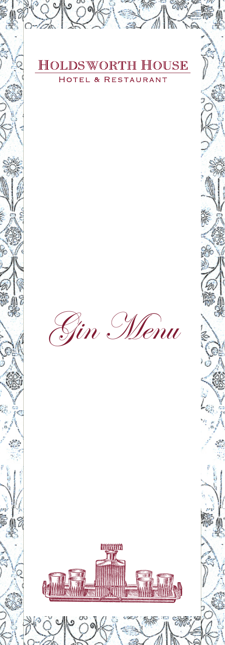

#### **HOLDSWORTH HOUSE** AUF Ë łо  $\alpha$ F ŔЕ S EL  $\top$ ٦

Gin Menu

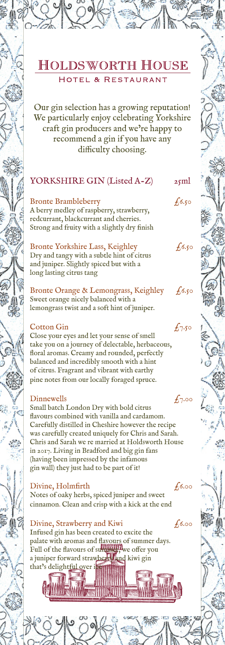Our gin selection has a growing reputation! We particularly enjoy celebrating Yorkshire craft gin producers and we're happy to recommend a gin if you have any difficulty choosing.

# YORKSHIRE GIN (Listed A-Z) 25ml

Bronte Brambleberry  $f_6.50$ A berry medley of raspberry, strawberry, redcurrant, blackcurrant and cherries. Strong and fruity with a slightly dry finish

Bronte Yorkshire Lass, Keighley  $f_6$ ,  $f_6$ Dry and tangy with a subtle hint of citrus and juniper. Slightly spiced but with a long lasting citrus tang

Bronte Orange & Lemongrass, Keighley f6.50 Sweet orange nicely balanced with a lemongrass twist and a soft hint of juniper.

## Cotton Gin  $f_{7.50}$

Close your eyes and let your sense of smell take you on a journey of delectable, herbaceous, floral aromas. Creamy and rounded, perfectly balanced and incredibly smooth with a hint of citrus. Fragrant and vibrant with earthy pine notes from our locally foraged spruce.

# Dinnewells  $f_{7.00}$

Small batch London Dry with bold citrus flavours combined with vanilla and cardamom. Carefully distilled in Cheshire however the recipe was carefully created uniquely for Chris and Sarah. Chris and Sarah we re married at Holdsworth House in 2017. Living in Bradford and big gin fans (having been impressed by the infamous gin wall) they just had to be part of it!

# Divine, Holmfirth  $f_{6.00}$

Notes of oaky herbs, spiced juniper and sweet cinnamon. Clean and crisp with a kick at the end

Divine, Strawberry and Kiwi  $f_{6.00}$ Infused gin has been created to excite the palate with aromas and flavours of summer days. Full of the flavours of summitteen we offer you a juniper forward strawberry and kiwi gin that's delightful over i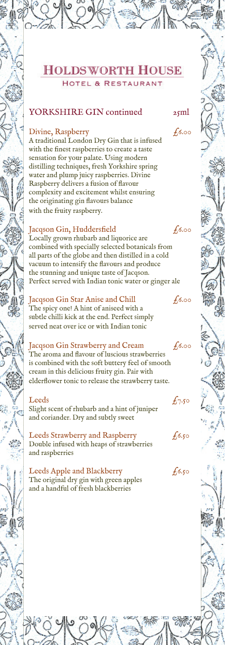# YORKSHIRE GIN continued 25ml

### Divine, Raspberry  $f_0$ 6.00

A traditional London Dry Gin that is infused with the finest raspberries to create a taste sensation for your palate. Using modern distilling techniques, fresh Yorkshire spring water and plump juicy raspberries. Divine Raspberry delivers a fusion of flavour complexity and excitement whilst ensuring the originating gin flavours balance with the fruity raspberry.

## $Jacqson$  Gin, Huddersfield  $f_{6.00}$

Locally grown rhubarb and liquorice are combined with specially selected botanicals from all parts of the globe and then distilled in a cold vacuum to intensify the flavours and produce the stunning and unique taste of Jacqson. Perfect served with Indian tonic water or ginger ale

# Jacqson Gin Star Anise and Chill  $f_{6.00}$

The spicy one! A hint of aniseed with a subtle chilli kick at the end. Perfect simply served neat over ice or with Indian tonic

## Jacqson Gin Strawberry and Cream  $\epsilon$ 6.00

The aroma and flavour of luscious strawberries is combined with the soft buttery feel of smooth cream in this delicious fruity gin. Pair with elderflower tonic to release the strawberry taste.

Leeds  $f_{7.50}$ Slight scent of rhubarb and a hint of juniper and coriander. Dry and subtly sweet

Leeds Strawberry and Raspberry  $f_6$ .50 Double infused with heaps of strawberries and raspberries

Leeds Apple and Blackberry  $f_0$ 6.50 The original dry gin with green apples and a handful of fresh blackberries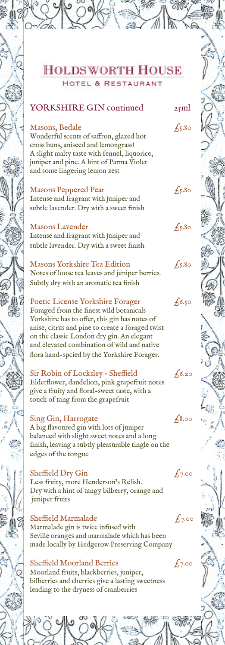# YORKSHIRE GIN continued 25ml

Masons, Bedale  $f_5$ .80

Wonderful scents of saffron, glazed hot cross buns, aniseed and lemongrass! A slight malty taste with fennel, liquorice, juniper and pine. A hint of Parma Violet and some lingering lemon zest

#### Masons Peppered Pear  $f_5$ .80

Intense and fragrant with juniper and subtle lavender. Dry with a sweet finish

### Masons Lavender  $f_5$ .80

Intense and fragrant with juniper and subtle lavender. Dry with a sweet finish

Masons Yorkshire Tea Edition  $f_5$ .80 Notes of loose tea leaves and juniper berries. Subtly dry with an aromatic tea finish

### Poetic License Yorkshire Forager  $f_{6,50}$

Foraged from the finest wild botanicals Yorkshire has to offer, this gin has notes of anise, citrus and pine to create a foraged twist on the classic London dry gin. An elegant and elevated combination of wild and native flora hand-spcied by the Yorkshire Forager.

Sir Robin of Locksley - Sheffield  $f_{6.20}$ Elderflower, dandelion, pink grapefruit notes give a fruity and floral-sweet taste, with a

touch of tang from the grapefruit

# $Sing Gin, Harrogate$   $f_{8.00}$

A big flavoured gin with lots of juniper balanced with slight sweet notes and a long finish, leaving a subtly pleasurable tingle on the edges of the tongue

# Sheffield Dry Gin  $f_{7.00}$

Less fruity, more Henderson's Relish. Dry with a hint of tangy bilberry, orange and juniper fruits

#### Sheffield Marmalade  $f_{7.00}$

Marmalade gin is twice infused with Seville oranges and marmalade which has been made locally by Hedgerow Preserving Company

#### Sheffield Moorland Berries  $f_7 \circ \circ$

Moorland fruits, blackberries, juniper, bilberries and cherries give a lasting sweetness leading to the dryness of cranberries





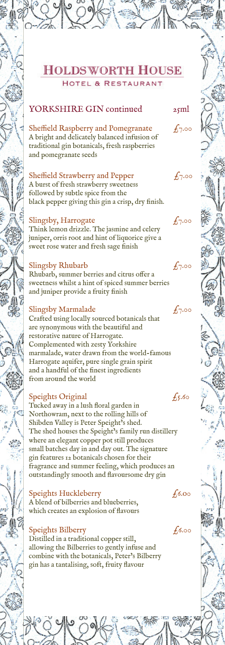# YORKSHIRE GIN continued 25ml

Sheffield Raspberry and Pomegranate  $f_{7.00}$ A bright and delicately balanced infusion of traditional gin botanicals, fresh raspberries and pomegranate seeds

## Sheffield Strawberry and Pepper  $f_7.00$

A burst of fresh strawberry sweetness followed by subtle spice from the black pepper giving this gin a crisp, dry finish.

## Slingsby, Harrogate  $f_7$ .00

Think lemon drizzle. The jasmine and celery juniper, orris root and hint of liquorice give a sweet rose water and fresh sage finish

## Slingsby Rhubarb  $f_{7.00}$

Rhubarb, summer berries and citrus offer a sweetness whilst a hint of spiced summer berries and juniper provide a fruity finish

## Slingsby Marmalade  $f_7.00$

Crafted using locally sourced botanicals that are synonymous with the beautiful and restorative nature of Harrogate. Complemented with zesty Yorkshire marmalade, water drawn from the world-famous Harrogate aquifer, pure single grain spirit and a handful of the finest ingredients from around the world

# Speights Original  $f_5.60$

Tucked away in a lush floral garden in Northowram, next to the rolling hills of Shibden Valley is Peter Speight's shed. The shed houses the Speight's family run distillery where an elegant copper pot still produces small batches day in and day out. The signature gin features 12 botanicals chosen for their fragrance and summer feeling, which produces an outstandingly smooth and flavoursome dry gin

# Speights Huckleberry  $\epsilon$ 6.00

A blend of bilberries and blueberries, which creates an explosion of flavours

# Speights Bilberry  $f_{0.00}$

Distilled in a traditional copper still, allowing the Bilberries to gently infuse and combine with the botanicals, Peter's Bilberry gin has a tantalising, soft, fruity flavour



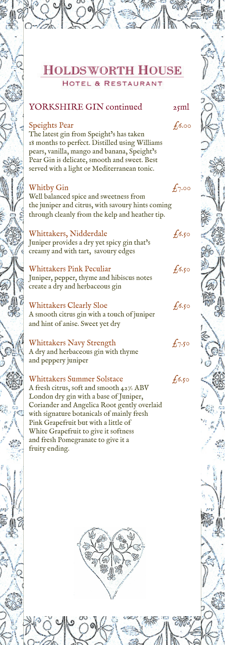# YORKSHIRE GIN continued 25ml

#### Speights Pear  $f_{6.00}$

The latest gin from Speight's has taken 18 months to perfect. Distilled using Williams pears, vanilla, mango and banana, Speight's Pear Gin is delicate, smooth and sweet. Best served with a light or Mediterranean tonic.

#### Whitby Gin  $f_{7.00}$

Well balanced spice and sweetness from the juniper and citrus, with savoury hints coming through cleanly from the kelp and heather tip.

Whittakers, Nidderdale  $f_6$ .50 Juniper provides a dry yet spicy gin that's creamy and with tart, savoury edges

Whittakers Pink Peculiar  $f_6s_5$ Juniper, pepper, thyme and hibiscus notes create a dry and herbaceous gin

Whittakers Clearly Sloe  $f_{6,50}$ A smooth citrus gin with a touch of juniper and hint of anise. Sweet yet dry

Whittakers Navy Strength  $f_7$ .50 A dry and herbaceous gin with thyme and peppery juniper

Whittakers Summer Solstace  $f_6$ .50 A fresh citrus, soft and smooth 42% ABV London dry gin with a base of Juniper, Coriander and Angelica Root gently overlaid with signature botanicals of mainly fresh Pink Grapefruit but with a little of White Grapefruit to give it softness and fresh Pomegranate to give it a fruity ending.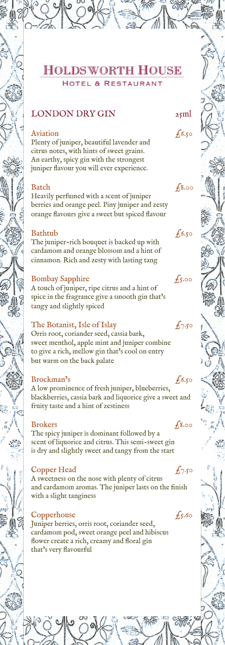# LONDON DRY GIN 25ml

#### Aviation  $f_{6.50}$

Plenty of juniper, beautiful lavender and citrus notes, with hints of sweet grains. An earthy, spicy gin with the strongest juniper flavour you will ever experience.

#### $\beta$ 8.00

Heavily perfumed with a scent of juniper berries and orange peel. Piny juniper and zesty orange flavours give a sweet but spiced flavour

#### Bathtub  $f_6s$

The juniper-rich bouquet is backed up with cardamom and orange blossom and a hint of cinnamon. Rich and zesty with lasting tang

#### Bombay Sapphire  $f_5.00$

A touch of juniper, ripe citrus and a hint of spice in the fragrance give a smooth gin that's tangy and slightly spiced

#### The Botanist, Isle of Islay  $f_7.50$

Orris root, coriander seed, cassia bark, sweet menthol, apple mint and juniper combine to give a rich, mellow gin that's cool on entry but warm on the back palate

#### Brockman's  $f_{6.50}$

A low prominence of fresh juniper, blueberries, blackberries, cassia bark and liquorice give a sweet and fruity taste and a hint of zestiness

#### $B$ rokers  $f_{8.00}$

The spicy juniper is dominant followed by a scent of liquorice and citrus. This semi-sweet gin is dry and slightly sweet and tangy from the start

#### Copper Head  $f_{7.50}$

A sweetness on the nose with plenty of citrus and cardamom aromas. The juniper lasts on the finish with a slight tanginess

#### Copperhouse  $f_5.60$

Juniper berries, orris root, coriander seed, cardamom pod, sweet orange peel and hibiscus flower create a rich, creamy and floral gin that's very flavourful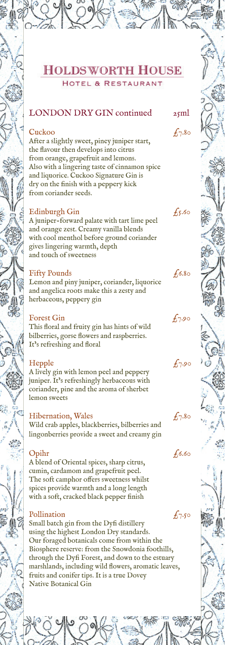# LONDON DRY GIN continued  $_{25}$ ml

#### $\epsilon$ uckoo  $\epsilon$ 7.80

After a slightly sweet, piney juniper start, the flavour then develops into citrus from orange, grapefruit and lemons. Also with a lingering taste of cinnamon spice and liquorice. Cuckoo Signature Gin is dry on the finish with a peppery kick from coriander seeds.

#### Edinburgh Gin  $f_5.60$

A juniper-forward palate with tart lime peel and orange zest. Creamy vanilla blends with cool menthol before ground coriander gives lingering warmth, depth and touch of sweetness

#### Fifty Pounds  $f_6$ .80

Lemon and piny juniper, coriander, liquorice and angelica roots make this a zesty and herbaceous, peppery gin

#### Forest Gin  $f_{7.90}$

This floral and fruity gin has hints of wild bilberries, gorse flowers and raspberries. It's refreshing and floral

#### Hepple  $f_{7.90}$

A lively gin with lemon peel and peppery juniper. It's refreshingly herbaceous with coriander, pine and the aroma of sherbet lemon sweets

## Hibernation, Wales  $f_{7.80}$

Wild crab apples, blackberries, bilberries and lingonberries provide a sweet and creamy gin

## $Opi$ r  $f_6.60$

A blend of Oriental spices, sharp citrus, cumin, cardamom and grapefruit peel. The soft camphor offers sweetness whilst spices provide warmth and a long length with a soft, cracked black pepper finish

#### Pollination  $f_{7.50}$

Small batch gin from the Dyfi distillery using the highest London Dry standards. Our foraged botanicals come from within the Biosphere reserve: from the Snowdonia foothills, through the Dyfi Forest, and down to the estuary marshlands, including wild flowers, aromatic leaves, fruits and conifer tips. It is a true Dovey Native Botanical Gin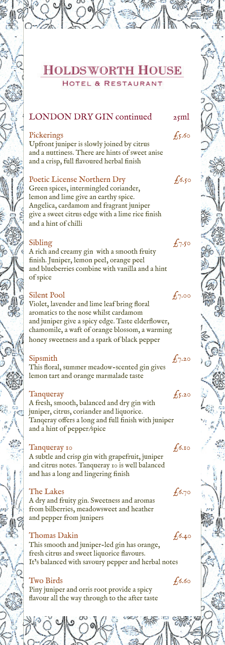# LONDON DRY GIN continued  $25$ ml

#### Pickerings  $\epsilon$ <sub>5</sub>.60

Upfront juniper is slowly joined by citrus and a nuttiness. There are hints of sweet anise and a crisp, full flavoured herbal finish

#### Poetic License Northern Dry  $f_6$ ,  $f_6$

Green spices, intermingled coriander, lemon and lime give an earthy spice. Angelica, cardamom and fragrant juniper give a sweet citrus edge with a lime rice finish and a hint of chilli

#### Sibling  $f_{7.50}$

A rich and creamy gin with a smooth fruity finish. Juniper, lemon peel, orange peel and blueberries combine with vanilla and a hint of spice

#### Silent Pool  $f_{7.00}$

Violet, lavender and lime leaf bring floral aromatics to the nose whilst cardamom and juniper give a spicy edge. Taste elderflower, chamomile, a waft of orange blossom, a warming honey sweetness and a spark of black pepper

#### Sipsmith  $\sqrt{7.20}$

This floral, summer meadow-scented gin gives lemon tart and orange marmalade taste

#### Tanqueray  $f_5$ .20

A fresh, smooth, balanced and dry gin with juniper, citrus, coriander and liquorice. Tanqeray offers a long and full finish with juniper and a hint of pepper/spice

#### Tanqueray 10  $f_{6.10}$

A subtle and crisp gin with grapefruit, juniper and citrus notes. Tanqueray 10 is well balanced and has a long and lingering finish

#### The Lakes  $f_{6.70}$

A dry and fruity gin. Sweetness and aromas from bilberries, meadowsweet and heather and pepper from junipers

## Thomas Dakin  $f_{6.40}$

This smooth and juniper-led gin has orange, fresh citrus and sweet liquorice flavours. It's balanced with savoury pepper and herbal notes

#### Two Birds  $f_6.60$

Piny juniper and orris root provide a spicy flavour all the way through to the after taste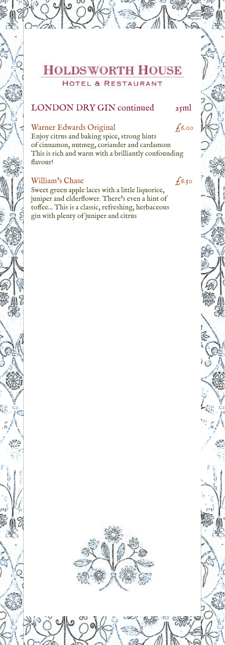# LONDON DRY GIN continued 25ml

## Warner Edwards Original  $f_{6.00}$

Enjoy citrus and baking spice, strong hints of cinnamon, nutmeg, coriander and cardamom This is rich and warm with a brilliantly confounding flavour!

# William's Chase  $f_6s$ ,

Sweet green apple laces with a little liquorice, juniper and elderflower. There's even a hint of toffee... This is a classic, refreshing, herbaceous gin with plenty of juniper and citrus

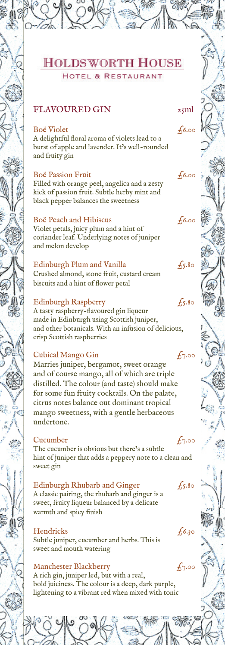# FLAVOURED GIN 25ml

### $B$ oë Violet  $f_{6.00}$

A delightful floral aroma of violets lead to a burst of apple and lavender. It's well-rounded and fruity gin

#### Boë Passion Fruit  $f_{6.00}$

Filled with orange peel, angelica and a zesty kick of passion fruit. Subtle herby mint and black pepper balances the sweetness

#### Boë Peach and Hibiscus  $f_0$ 6.00

Violet petals, juicy plum and a hint of coriander leaf. Underlying notes of juniper and melon develop

# Edinburgh Plum and Vanilla  $f_5$ .80

Crushed almond, stone fruit, custard cream biscuits and a hint of flower petal

## Edinburgh Raspberry  $f_5$ .80

A tasty raspberry-flavoured gin liqueur made in Edinburgh using Scottish juniper, and other botanicals. With an infusion of delicious, crisp Scottish raspberries

#### Cubical Mango Gin  $f_{7.00}$

Marries juniper, bergamot, sweet orange and of course mango, all of which are triple distilled. The colour (and taste) should make for some fun fruity cocktails. On the palate, citrus notes balance out dominant tropical mango sweetness, with a gentle herbaceous undertone.

#### Cucumber  $f_{7.00}$

The cucumber is obvious but there's a subtle hint of juniper that adds a peppery note to a clean and sweet gin

## Edinburgh Rhubarb and Ginger  $f_5$ .80

A classic pairing, the rhubarb and ginger is a sweet, fruity liqueur balanced by a delicate warmth and spicy finish

#### Hendricks  $f_0$ .

Subtle juniper, cucumber and herbs. This is sweet and mouth watering

# Manchester Blackberry  $f_{7.00}$

A rich gin, juniper led, but with a real, bold juiciness. The colour is a deep, dark purple, lightening to a vibrant red when mixed with tonic

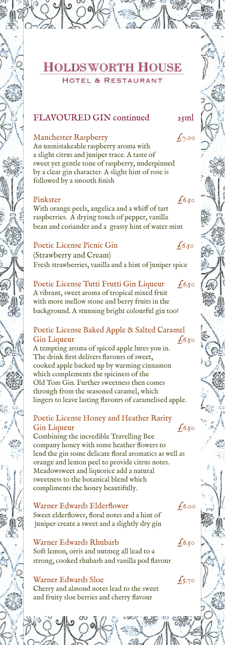## FLAVOURED GIN continued 25ml

#### Manchester Raspberry  $f_{7.00}$

An unmistakeable raspberry aroma with a slight citrus and juniper trace. A taste of sweet yet gentle tone of raspberry, underpinned by a clear gin character. A slight hint of rose is followed by a smooth finish

#### Pinkster  $f_{6.50}$

With orange peels, angelica and a whiff of tart raspberries. A drying touch of pepper, vanilla bean and coriander and a grassy hint of water mint

# Poetic License Picnic Gin  $f_6$ .50

(Strawberry and Cream) Fresh strawberries, vanilla and a hint of juniper spice

# Poetic License Tutti Frutti Gin Liqueur  $f_{6,50}$

A vibrant, sweet aroma of tropical mixed fruit with more mellow stone and berry fruits in the background. A stunning bright colourful gin too!

#### Poetic License Baked Apple & Salted Caramel Gin Liqueur  $f_6.50$

A tempting aroma of spiced apple lures you in. The drink first delivers flavours of sweet, cooked apple backed up by warming cinnamon which complements the spiciness of the Old Tom Gin. Further sweetness then comes through from the seasoned caramel, which lingers to leave lasting flavours of caramelised apple.

### Poetic License Honey and Heather Rarity Gin Liqueur  $f_{6.50}$

Combining the incredible Travelling Bee company honey with some heather flowers to lend the gin some delicate floral aromatics as well as orange and lemon peel to provide citrus notes. Meadowsweet and liquorice add a natural sweetness to the botanical blend which compliments the honey beautifully.

#### Warner Edwards Elderflower  $f_{6.00}$

Sweet elderflower, floral notes and a hint of juniper create a sweet and a slightly dry gin

#### Warner Edwards Rhubarb  $f_6$ .50

Soft lemon, orris and nutmeg all lead to a strong, cooked rhubarb and vanilla pod flavour

#### Warner Edwards Sloe  $f_{5,70}$

Cherry and almond notes lead to the sweet and fruity sloe berries and cherry flavour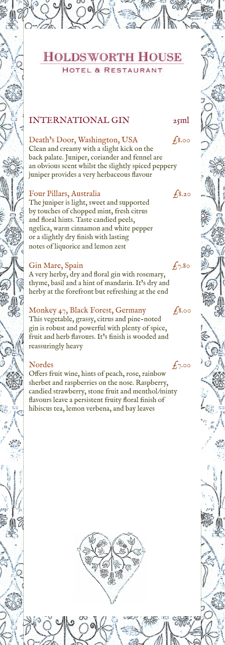# INTERNATIONAL GIN 25ml

## Death's Door, Washington, USA  $f_{8.00}$

Clean and creamy with a slight kick on the back palate. Juniper, coriander and fennel are an obvious scent whilst the slightly spiced peppery juniper provides a very herbaceous flavour

## Four Pillars, Australia  $\epsilon^{8.20}$

The juniper is light, sweet and supported by touches of chopped mint, fresh citrus and floral hints. Taste candied peels, ngelica, warm cinnamon and white pepper or a slightly dry finish with lasting notes of liquorice and lemon zest

## Gin Mare, Spain  $f_{7.80}$

A very herby, dry and floral gin with rosemary, thyme, basil and a hint of mandarin. It's dry and herby at the forefront but refreshing at the end

# Monkey  $47$ , Black Forest, Germany  $f_{8.00}$

This vegetable, grassy, citrus and pine-noted gin is robust and powerful with plenty of spice, fruit and herb flavours. It's finish is wooded and reassuringly heavy

## Nordes  $f_{7.00}$

Offers fruit wine, hints of peach, rose, rainbow sherbet and raspberries on the nose. Raspberry, candied strawberry, stone fruit and menthol/minty flavours leave a persistent fruity floral finish of hibiscus tea, lemon verbena, and bay leaves





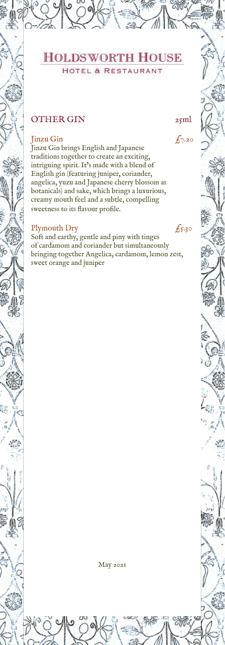

# OTHER GIN 25ml

## $\int_{7.20}$

Jinzu Gin brings English and Japanese traditions together to create an exciting, intriguing spirit. It's made with a blend of English gin (featuring juniper, coriander, angelica, yuzu and Japanese cherry blossom as botanicals) and sake, which brings a luxurious, creamy mouth feel and a subtle, compelling sweetness to its flavour profile.

#### Plymouth Dry  $f_5$ .30

Soft and earthy, gentle and piny with tinges of cardamom and coriander but simultaneously bringing together Angelica, cardamom, lemon zest, sweet orange and juniper

May 2021